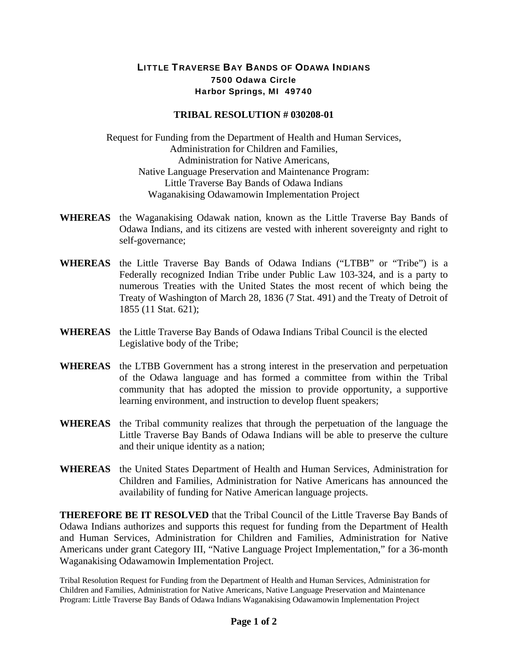## LITTLE TRAVERSE BAY BANDS OF ODAWA INDIANS 7500 Odawa Circle Harbor Springs, MI 49740

## **TRIBAL RESOLUTION # 030208-01**

Request for Funding from the Department of Health and Human Services, Administration for Children and Families, Administration for Native Americans, Native Language Preservation and Maintenance Program: Little Traverse Bay Bands of Odawa Indians Waganakising Odawamowin Implementation Project

- **WHEREAS** the Waganakising Odawak nation, known as the Little Traverse Bay Bands of Odawa Indians, and its citizens are vested with inherent sovereignty and right to self-governance;
- **WHEREAS** the Little Traverse Bay Bands of Odawa Indians ("LTBB" or "Tribe") is a Federally recognized Indian Tribe under Public Law 103-324, and is a party to numerous Treaties with the United States the most recent of which being the Treaty of Washington of March 28, 1836 (7 Stat. 491) and the Treaty of Detroit of 1855 (11 Stat. 621);
- **WHEREAS** the Little Traverse Bay Bands of Odawa Indians Tribal Council is the elected Legislative body of the Tribe;
- **WHEREAS** the LTBB Government has a strong interest in the preservation and perpetuation of the Odawa language and has formed a committee from within the Tribal community that has adopted the mission to provide opportunity, a supportive learning environment, and instruction to develop fluent speakers;
- **WHEREAS** the Tribal community realizes that through the perpetuation of the language the Little Traverse Bay Bands of Odawa Indians will be able to preserve the culture and their unique identity as a nation;
- **WHEREAS** the United States Department of Health and Human Services, Administration for Children and Families, Administration for Native Americans has announced the availability of funding for Native American language projects.

**THEREFORE BE IT RESOLVED** that the Tribal Council of the Little Traverse Bay Bands of Odawa Indians authorizes and supports this request for funding from the Department of Health and Human Services, Administration for Children and Families, Administration for Native Americans under grant Category III, "Native Language Project Implementation," for a 36-month Waganakising Odawamowin Implementation Project.

Tribal Resolution Request for Funding from the Department of Health and Human Services, Administration for Children and Families, Administration for Native Americans, Native Language Preservation and Maintenance Program: Little Traverse Bay Bands of Odawa Indians Waganakising Odawamowin Implementation Project